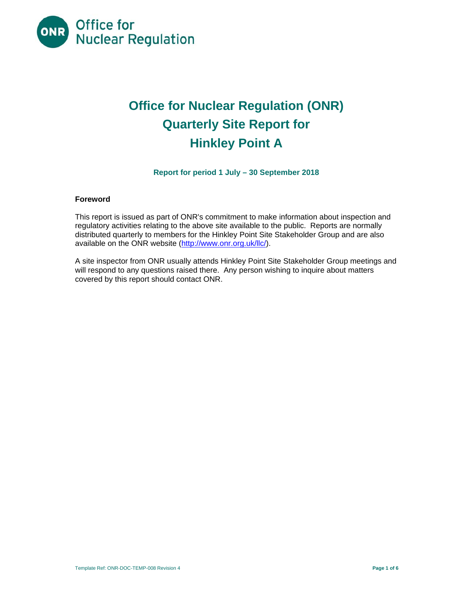

# **Office for Nuclear Regulation (ONR) Quarterly Site Report for Hinkley Point A**

**Report for period 1 July – 30 September 2018** 

# **Foreword**

This report is issued as part of ONR's commitment to make information about inspection and regulatory activities relating to the above site available to the public. Reports are normally distributed quarterly to members for the Hinkley Point Site Stakeholder Group and are also available on the ONR website [\(http://www.onr.org.uk/llc/](http://www.onr.org.uk/llc)).

A site inspector from ONR usually attends Hinkley Point Site Stakeholder Group meetings and will respond to any questions raised there. Any person wishing to inquire about matters covered by this report should contact ONR.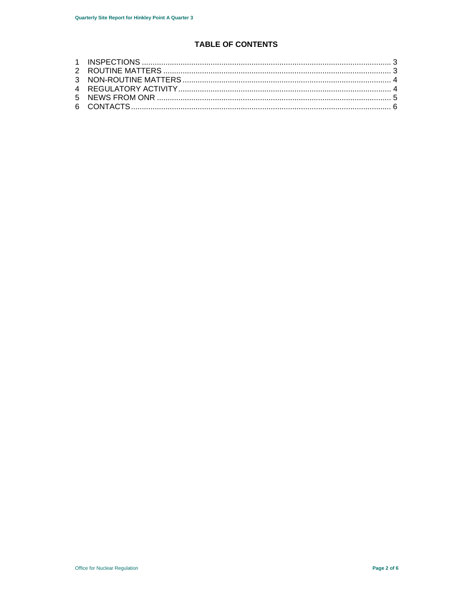# **TABLE OF CONTENTS**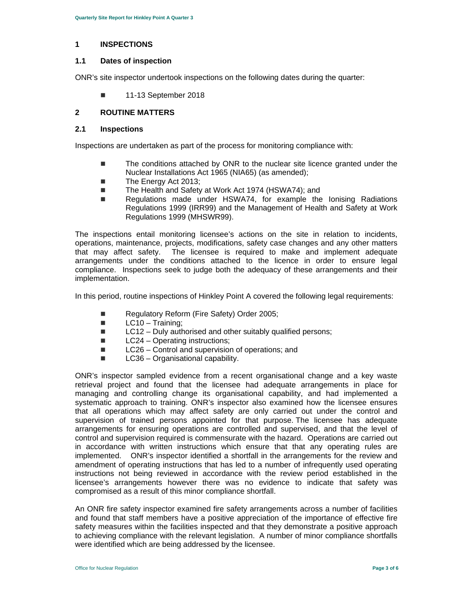#### **1 INSPECTIONS**

#### **1.1 Dates of inspection**

ONR's site inspector undertook inspections on the following dates during the quarter:

**11-13 September 2018** 

## **2 ROUTINE MATTERS**

#### **2.1 Inspections**

Inspections are undertaken as part of the process for monitoring compliance with:

- The conditions attached by ONR to the nuclear site licence granted under the Nuclear Installations Act 1965 (NIA65) (as amended);
- The Energy Act 2013:
- The Health and Safety at Work Act 1974 (HSWA74); and
- Regulations made under HSWA74, for example the Ionising Radiations Regulations 1999 (IRR99) and the Management of Health and Safety at Work Regulations 1999 (MHSWR99).

 operations, maintenance, projects, modifications, safety case changes and any other matters compliance. Inspections seek to judge both the adequacy of these arrangements and their The inspections entail monitoring licensee's actions on the site in relation to incidents, that may affect safety. The licensee is required to make and implement adequate arrangements under the conditions attached to the licence in order to ensure legal implementation.

In this period, routine inspections of Hinkley Point A covered the following legal requirements:

- Regulatory Reform (Fire Safety) Order 2005;
- $\blacksquare$  LC10 Training;
- LC12 Duly authorised and other suitably qualified persons;
- LC24 Operating instructions;
- LC26 Control and supervision of operations; and
- $\Box$  LC36 Organisational capability.

 implemented. ONR's inspector identified a shortfall in the arrangements for the review and ONR's inspector sampled evidence from a recent organisational change and a key waste retrieval project and found that the licensee had adequate arrangements in place for managing and controlling change its organisational capability, and had implemented a systematic approach to training. ONR's inspector also examined how the licensee ensures that all operations which may affect safety are only carried out under the control and supervision of trained persons appointed for that purpose. The licensee has adequate arrangements for ensuring operations are controlled and supervised, and that the level of control and supervision required is commensurate with the hazard. Operations are carried out in accordance with written instructions which ensure that that any operating rules are amendment of operating instructions that has led to a number of infrequently used operating instructions not being reviewed in accordance with the review period established in the licensee's arrangements however there was no evidence to indicate that safety was compromised as a result of this minor compliance shortfall.

An ONR fire safety inspector examined fire safety arrangements across a number of facilities and found that staff members have a positive appreciation of the importance of effective fire safety measures within the facilities inspected and that they demonstrate a positive approach to achieving compliance with the relevant legislation. A number of minor compliance shortfalls were identified which are being addressed by the licensee.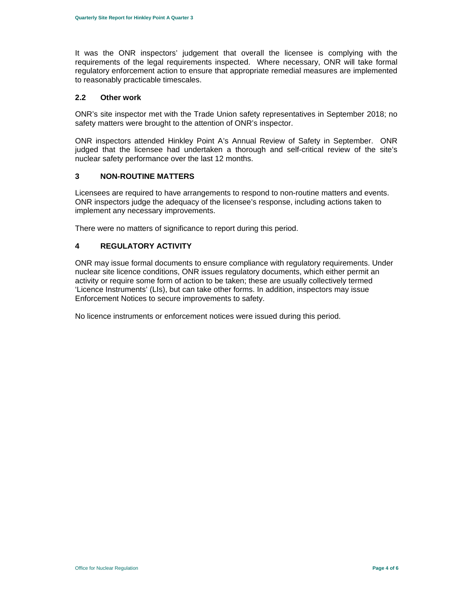requirements of the legal requirements inspected. Where necessary, ONR will take formal It was the ONR inspectors' judgement that overall the licensee is complying with the regulatory enforcement action to ensure that appropriate remedial measures are implemented to reasonably practicable timescales.

# **2.2 Other work**

ONR's site inspector met with the Trade Union safety representatives in September 2018; no safety matters were brought to the attention of ONR's inspector.

 ONR inspectors attended Hinkley Point A's Annual Review of Safety in September. ONR judged that the licensee had undertaken a thorough and self-critical review of the site's nuclear safety performance over the last 12 months.

# **3 NON-ROUTINE MATTERS**

Licensees are required to have arrangements to respond to non-routine matters and events. ONR inspectors judge the adequacy of the licensee's response, including actions taken to implement any necessary improvements.

There were no matters of significance to report during this period.

# **4 REGULATORY ACTIVITY**

ONR may issue formal documents to ensure compliance with regulatory requirements. Under nuclear site licence conditions, ONR issues regulatory documents, which either permit an activity or require some form of action to be taken; these are usually collectively termed 'Licence Instruments' (LIs), but can take other forms. In addition, inspectors may issue Enforcement Notices to secure improvements to safety.

No licence instruments or enforcement notices were issued during this period.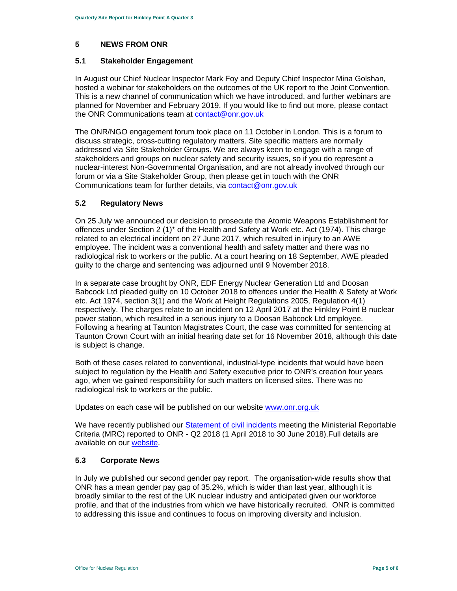## **5 NEWS FROM ONR**

#### **5.1 Stakeholder Engagement**

In August our Chief Nuclear Inspector Mark Foy and Deputy Chief Inspector Mina Golshan, hosted a webinar for stakeholders on the outcomes of the UK report to the Joint Convention. This is a new channel of communication which we have introduced, and further webinars are planned for November and February 2019. If you would like to find out more, please contact the ONR Communications team at contact@onr.gov.uk

Communications team for further details, via contact@onr.gov.uk The ONR/NGO engagement forum took place on 11 October in London. This is a forum to discuss strategic, cross-cutting regulatory matters. Site specific matters are normally addressed via Site Stakeholder Groups. We are always keen to engage with a range of stakeholders and groups on nuclear safety and security issues, so if you do represent a nuclear-interest Non-Governmental Organisation, and are not already involved through our forum or via a Site Stakeholder Group, then please get in touch with the ONR

## **5.2 Regulatory News**

On 25 July we announced our decision to prosecute the Atomic Weapons Establishment for offences under Section 2 (1)\* of the Health and Safety at Work etc. Act (1974). This charge related to an electrical incident on 27 June 2017, which resulted in injury to an AWE employee. The incident was a conventional health and safety matter and there was no radiological risk to workers or the public. At a court hearing on 18 September, AWE pleaded guilty to the charge and sentencing was adjourned until 9 November 2018.

In a separate case brought by ONR, EDF Energy Nuclear Generation Ltd and Doosan Babcock Ltd pleaded guilty on 10 October 2018 to offences under the Health & Safety at Work etc. Act 1974, section 3(1) and the Work at Height Regulations 2005, Regulation 4(1) respectively. The charges relate to an incident on 12 April 2017 at the Hinkley Point B nuclear power station, which resulted in a serious injury to a Doosan Babcock Ltd employee. Following a hearing at Taunton Magistrates Court, the case was committed for sentencing at Taunton Crown Court with an initial hearing date set for 16 November 2018, although this date is subject is change.

Both of these cases related to conventional, industrial-type incidents that would have been subject to regulation by the Health and Safety executive prior to ONR's creation four years ago, when we gained responsibility for such matters on licensed sites. There was no radiological risk to workers or the public.

Updates on each case will be published on our website www.onr.org.uk

We have recently published our Statement of civil incidents meeting the Ministerial Reportable Criteria (MRC) reported to ONR - Q2 2018 (1 April 2018 to 30 June 2018).Full details are available on our website.

# **5.3 Corporate News**

 to addressing this issue and continues to focus on improving diversity and inclusion. In July we published our second gender pay report. The organisation-wide results show that ONR has a mean gender pay gap of 35.2%, which is wider than last year, although it is broadly similar to the rest of the UK nuclear industry and anticipated given our workforce profile, and that of the industries from which we have historically recruited. ONR is committed